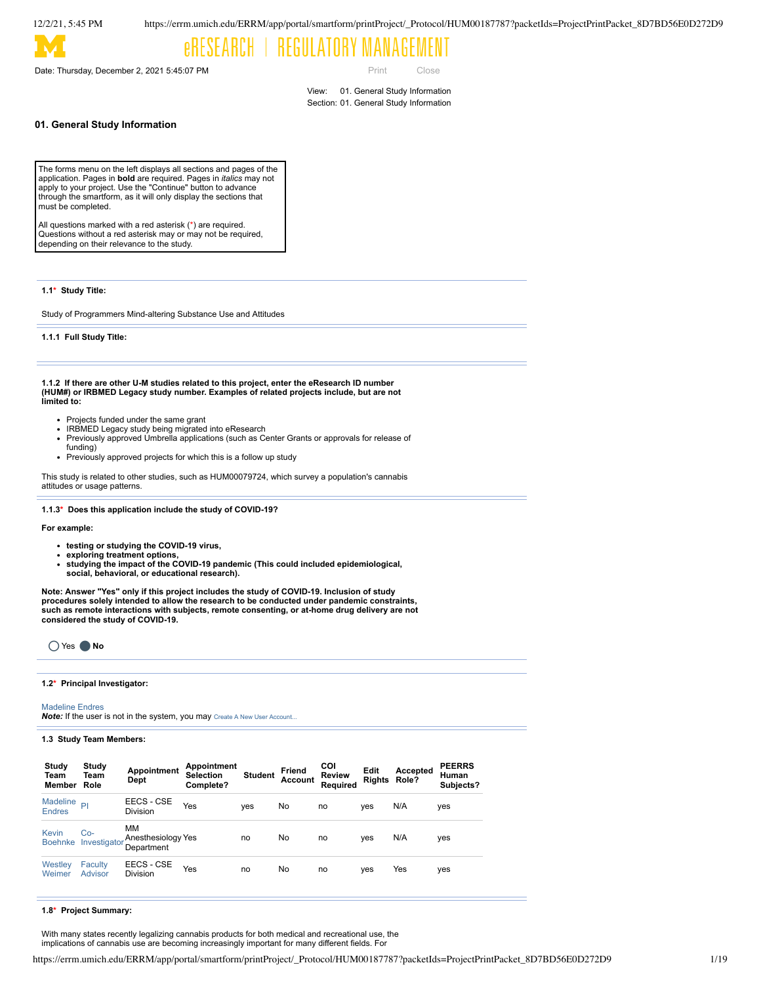Date: Thursday, December 2, 2021 5:45:07 PM

Print Close

View: 01. General Study Information Section: 01. General Study Information

## **01. General Study Information**

The forms menu on the left displays all sections and pages of the application. Pages in **bold** are required. Pages in *italics* may not apply to your project. Use the "Continue" button to advance through the smartform, as it will only display the sections that must be completed.

All questions marked with a red asterisk (\*) are required. Questions without a red asterisk may or may not be required, depending on their relevance to the study.

**1.1\* Study Title:**

Study of Programmers Mind-altering Substance Use and Attitudes

**1.1.1 Full Study Title:**

**1.1.2 If there are other U-M studies related to this project, enter the eResearch ID number (HUM#) or IRBMED Legacy study number. Examples of related projects include, but are not limited to:**

- Projects funded under the same grant
- IRBMED Legacy study being migrated into eResearch
- Previously approved Umbrella applications (such as Center Grants or approvals for release of
- funding) Previously approved projects for which this is a follow up study

This study is related to other studies, such as HUM00079724, which survey a population's cannabis attitudes or usage patterns.

**1.1.3\* Does this application include the study of COVID-19?**

**For example:**

- **testing or studying the COVID-19 virus,**
- **exploring treatment options,**
- **studying the impact of the COVID-19 pandemic (This could included epidemiological,**
- **social, behavioral, or educational research).**

Note: Answer "Yes" only if this project includes the study of COVID-19. Inclusion of study<br>procedures solely intended to allow the research to be conducted under pandemic constraints, **such as remote interactions with subjects, remote consenting, or at-home drug delivery are not considered the study of COVID-19.**



#### **1.2\* Principal Investigator:**

Madeline Endres

**Note:** If the user is not in the system, you may Create A New User Account..

#### **1.3 Study Team Members:**

| Study<br>Team<br>Member        | Study<br>Team<br>Role | Appointment<br>Dept                    | Appointment<br><b>Selection</b><br>Complete? | <b>Student</b> | Friend<br>Account | <b>COI</b><br><b>Review</b><br>Required | Edit<br>Rights Role? | Accepted | <b>PEERRS</b><br>Human<br>Subjects? |
|--------------------------------|-----------------------|----------------------------------------|----------------------------------------------|----------------|-------------------|-----------------------------------------|----------------------|----------|-------------------------------------|
| Madeline<br><b>Endres</b>      | PI                    | EECS - CSE<br>Division                 | Yes                                          | ves            | No                | no                                      | yes                  | N/A      | yes                                 |
| <b>Kevin</b><br><b>Boehnke</b> | Co-<br>Investigator   | MМ<br>Anesthesiology Yes<br>Department |                                              | no             | No                | no                                      | yes                  | N/A      | yes                                 |
| Westley<br>Weimer              | Faculty<br>Advisor    | EECS - CSE<br>Division                 | Yes                                          | no             | No                | no                                      | yes                  | Yes      | yes                                 |

#### **1.8\* Project Summary:**

With many states recently legalizing cannabis products for both medical and recreational use, the implications of cannabis use are becoming increasingly important for many different fields. For

https://errm.umich.edu/ERRM/app/portal/smartform/printProject/\_Protocol/HUM00187787?packetIds=ProjectPrintPacket\_8D7BD56E0D272D9 1/19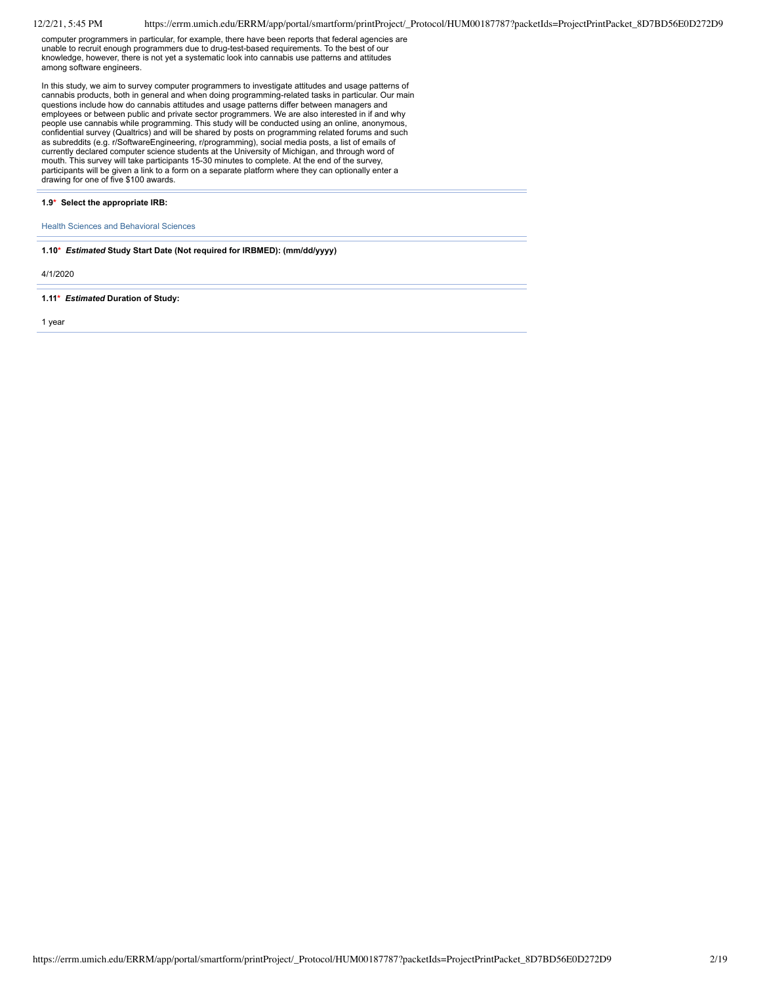computer programmers in particular, for example, there have been reports that federal agencies are unable to recruit enough programmers due to drug-test-based requirements. To the best of our knowledge, however, there is not yet a systematic look into cannabis use patterns and attitudes among software engineers.

In this study, we aim to survey computer programmers to investigate attitudes and usage patterns of<br>cannabis products, both in general and when doing programming-related tasks in particular. Our main<br>questions include how employees or between public and private sector programmers. We are also interested in if and why people use cannabis while programming. This study will be conducted using an online, anonymous, confidential survey (Qualtrics) and will be shared by posts on programming related forums and such as subreddits (e.g. r/SoftwareEngineering, r/programming), social media posts, a list of emails of currently declared computer science students at the University of Michigan, and through word of mouth. This survey will take participants 15-30 minutes to complete. At the end of the survey, participants will be given a link to a form on a separate platform where they can optionally enter a drawing for one of five \$100 awards.

#### **1.9\* Select the appropriate IRB:**

Health Sciences and Behavioral Sciences

**1.10\*** *Estimated* **Study Start Date (Not required for IRBMED): (mm/dd/yyyy)**

4/1/2020

**1.11\*** *Estimated* **Duration of Study:**

1 year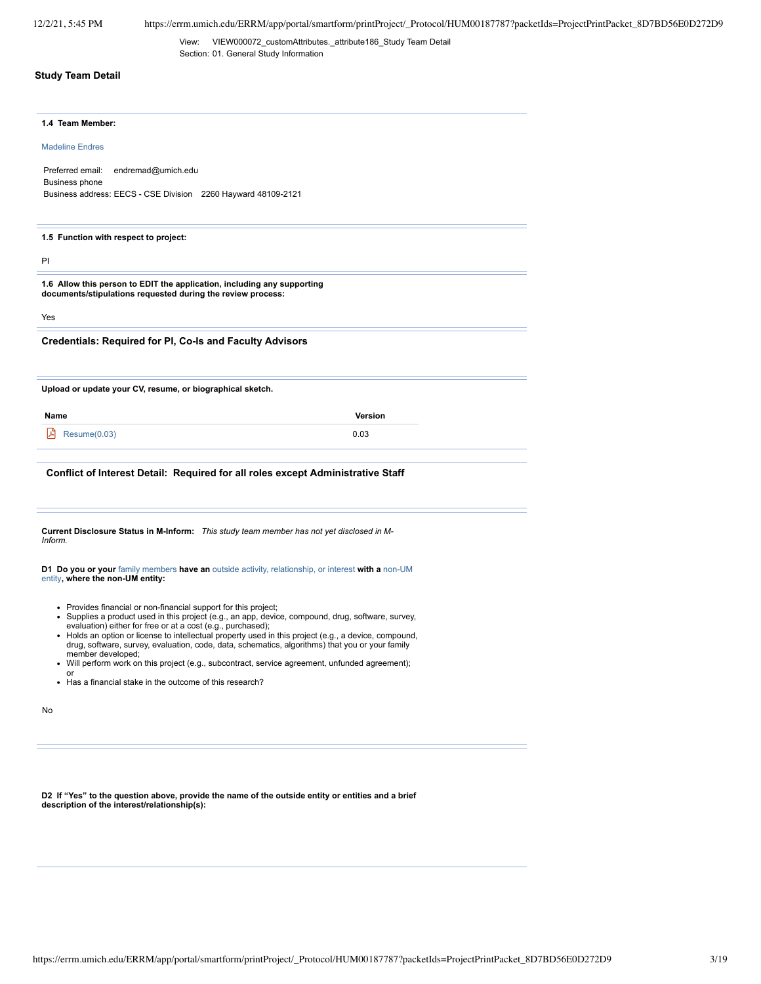View: VIEW000072\_customAttributes.\_attribute186\_Study Team Detail Section: 01. General Study Information

## **Study Team Detail**

#### **1.4 Team Member:**

Madeline Endres

Preferred email: endremad@umich.edu Business phone Business address: EECS - CSE Division 2260 Hayward 48109-2121

#### **1.5 Function with respect to project:**

PI

**1.6 Allow this person to EDIT the application, including any supporting documents/stipulations requested during the review process:**

Yes

**Credentials: Required for PI, Co-Is and Faculty Advisors**

**Upload or update your CV, resume, or biographical sketch.**

**Name Version**

 $\mathcal{L}$  Resume(0.03) 0.03

#### **Conflict of Interest Detail: Required for all roles except Administrative Staff**

**Current Disclosure Status in M-Inform:** *This study team member has not yet disclosed in M-Inform.*

#### **D1 Do you or your** family members **have an** outside activity, relationship, or interest **with a** non-UM entity**, where the non-UM entity:**

- Provides financial or non-financial support for this project;
- Supplies a product used in this project (e.g., an app, device, compound, drug, software, survey, evaluation) either for free or at a cost (e.g., purchased);
- Holds an option or license to intellectual property used in this project (e.g., a device, compound, drug, software, survey, evaluation, code, data, schematics, algorithms) that you or your family member developed;
- Will perform work on this project (e.g., subcontract, service agreement, unfunded agreement);  $\bullet$
- or Has a financial stake in the outcome of this research?  $\ddot{\phantom{a}}$

No

D2 If "Yes" to the question above, provide the name of the outside entity or entities and a brief **description of the interest/relationship(s):**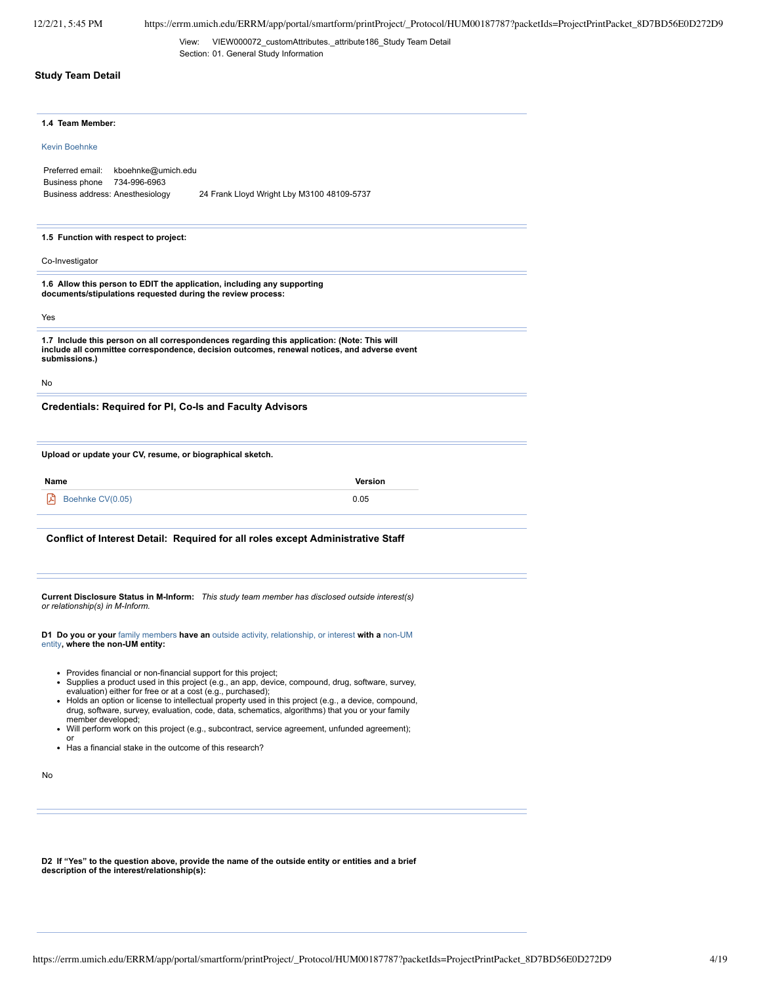View: VIEW000072\_customAttributes.\_attribute186\_Study Team Detail Section: 01. General Study Information

## **Study Team Detail**

|  | 1.4 Team Member: |  |  |
|--|------------------|--|--|
|--|------------------|--|--|

#### Kevin Boehnke

Preferred email: kboehnke@umich.edu Business phone 734-996-6963 Business address: Anesthesiology 24 Frank Lloyd Wright Lby M3100 48109-5737

#### **1.5 Function with respect to project:**

Co-Investigator

**1.6 Allow this person to EDIT the application, including any supporting documents/stipulations requested during the review process:**

Yes

**1.7 Include this person on all correspondences regarding this application: (Note: This will include all committee correspondence, decision outcomes, renewal notices, and adverse event submissions.)**

No

**Credentials: Required for PI, Co-Is and Faculty Advisors**

**Upload or update your CV, resume, or biographical sketch.**

| Name                  | Version |
|-----------------------|---------|
| 角<br>Boehnke CV(0.05) | 0.05    |

#### **Conflict of Interest Detail: Required for all roles except Administrative Staff**

**Current Disclosure Status in M-Inform:** *This study team member has disclosed outside interest(s) or relationship(s) in M-Inform.*

**D1 Do you or your** family members **have an** outside activity, relationship, or interest **with a** non-UM entity**, where the non-UM entity:**

- Provides financial or non-financial support for this project;
- Supplies a product used in this project (e.g., an app, device, compound, drug, software, survey, evaluation) either for free or at a cost (e.g., purchased);
- Holds an option or license to intellectual property used in this project (e.g., a device, compound, drug, software, survey, evaluation, code, data, schematics, algorithms) that you or your family member developed;
- Will perform work on this project (e.g., subcontract, service agreement, unfunded agreement); or
- Has a financial stake in the outcome of this research?

No

D2 If "Yes" to the question above, provide the name of the outside entity or entities and a brief<br>description of the interest/relationship(s):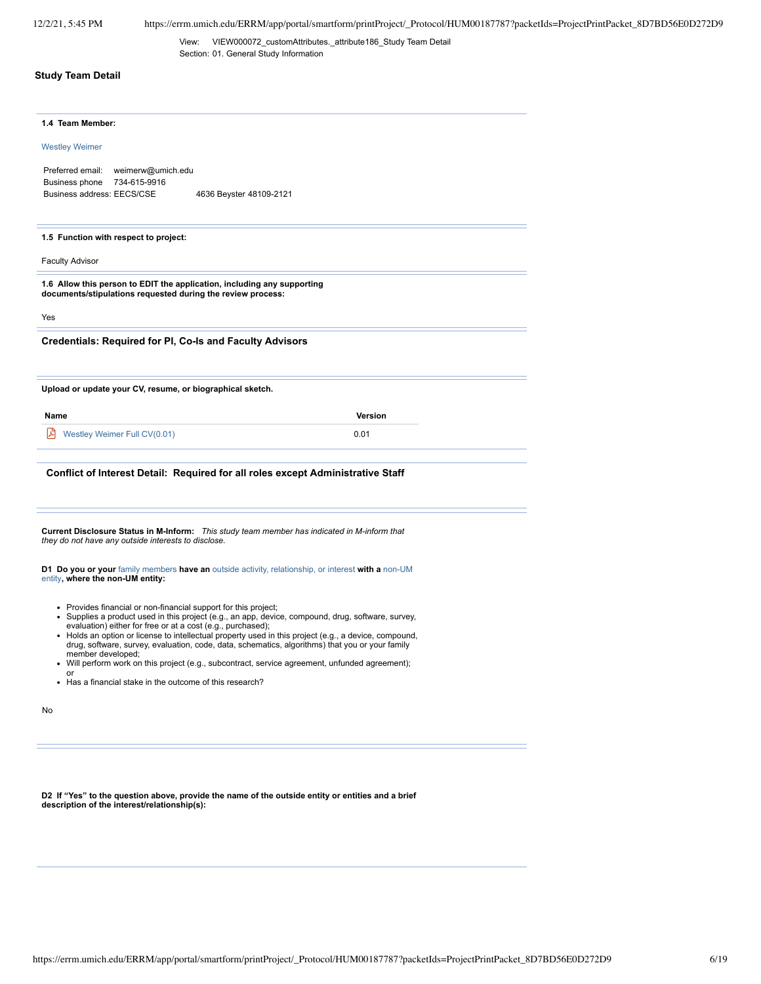View: VIEW000072\_customAttributes.\_attribute186\_Study Team Detail Section: 01. General Study Information

## **Study Team Detail**

# **1.4 Team Member:** Westley Weimer Preferred email: weimerw@umich.edu Business phone 734-615-9916 Business address: EECS/CSE 4636 Beyster 48109-2121 **1.5 Function with respect to project:** Faculty Advisor **1.6 Allow this person to EDIT the application, including any supporting documents/stipulations requested during the review process:** Yes **Credentials: Required for PI, Co-Is and Faculty Advisors Upload or update your CV, resume, or biographical sketch. Name Version**  $\beta$  Westley Weimer Full CV(0.01) 0.01 **Conflict of Interest Detail: Required for all roles except Administrative Staff Current Disclosure Status in M-Inform:** *This study team member has indicated in M-inform that they do not have any outside interests to disclose.* **D1 Do you or your** family members **have an** outside activity, relationship, or interest **with a** non-UM entity**, where the non-UM entity:**

- Provides financial or non-financial support for this project;
- Supplies a product used in this project (e.g., an app, device, compound, drug, software, survey, evaluation) either for free or at a cost (e.g., purchased);
- Holds an option or license to intellectual property used in this project (e.g., a device, compound, drug, software, survey, evaluation, code, data, schematics, algorithms) that you or your family member developed;
- Will perform work on this project (e.g., subcontract, service agreement, unfunded agreement);  $\bullet$
- or Has a financial stake in the outcome of this research?  $\ddot{\phantom{a}}$

No

D2 If "Yes" to the question above, provide the name of the outside entity or entities and a brief **description of the interest/relationship(s):**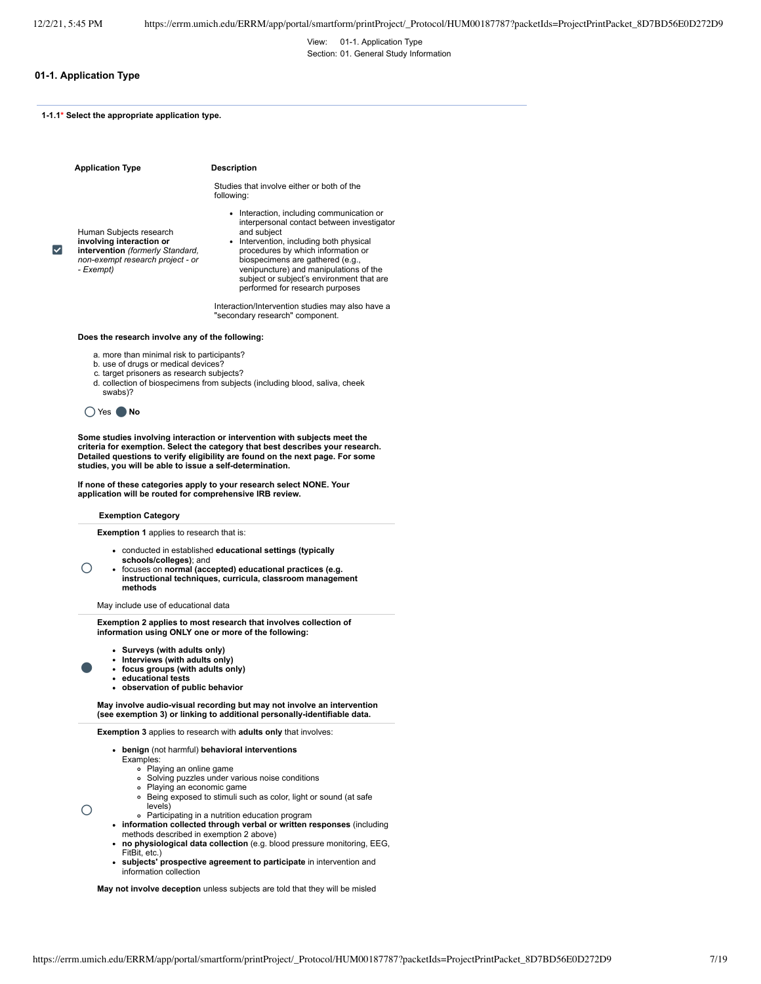View: 01-1. Application Type Section: 01. General Study Information

## **01-1. Application Type**

**1-1.1\* Select the appropriate application type.**

|    | <b>Application Type</b>                                                                                                                  | <b>Description</b>                                                                                                                                                                                                                                                                                                                                    |
|----|------------------------------------------------------------------------------------------------------------------------------------------|-------------------------------------------------------------------------------------------------------------------------------------------------------------------------------------------------------------------------------------------------------------------------------------------------------------------------------------------------------|
|    |                                                                                                                                          | Studies that involve either or both of the<br>following:                                                                                                                                                                                                                                                                                              |
| ∣✓ | Human Subjects research<br>involving interaction or<br>intervention (formerly Standard,<br>non-exempt research project - or<br>- Exempt) | • Interaction, including communication or<br>interpersonal contact between investigator<br>and subject<br>• Intervention, including both physical<br>procedures by which information or<br>biospecimens are gathered (e.g.,<br>venipuncture) and manipulations of the<br>subject or subject's environment that are<br>performed for research purposes |
|    |                                                                                                                                          | Interaction/Intervention studies may also have a<br>"secondary research" component.                                                                                                                                                                                                                                                                   |

**Does the research involve any of the following:**

- a. more than minimal risk to participants?
- b. use of drugs or medical devices?
- c. target prisoners as research subjects?
- d. collection of biospecimens from subjects (including blood, saliva, cheek swabs)?

```
Õ Yes Õ No
```
**Some studies involving interaction or intervention with subjects meet the** criteria for exemption. Select the category that best describes your research.<br>Detailed questions to verify eligibility are found on the next page. For some **studies, you will be able to issue a self-determination.**

**If none of these categories apply to your research select NONE. Your application will be routed for comprehensive IRB review.**

#### **Exemption Category**

**Exemption 1** applies to research that is:

- conducted in established **educational settings (typically**
- **schools/colleges)**; and
- focuses on **normal (accepted) educational practices (e.g. instructional techniques, curricula, classroom management methods**

May include use of educational data

**Exemption 2 applies to most research that involves collection of information using ONLY one or more of the following:**

- **Surveys (with adults only)**
- **Interviews (with adults only)**
- **focus groups (with adults only)**
- **educational tests observation of public behavior**

**May involve audio-visual recording but may not involve an intervention (see exemption 3) or linking to additional personally-identifiable data.**

**Exemption 3** applies to research with **adults only** that involves:

- **benign** (not harmful) **behavioral interventions**
	- Examples: Playing an online game
		- Solving puzzles under various noise conditions
		- $\circ$ Playing an economic game
		- $\circ$ Being exposed to stimuli such as color, light or sound (at safe levels)

Õ

 $\bigcirc$ 

Õ

- Participating in a nutrition education program
- **information collected through verbal or written responses** (including methods described in exemption 2 above)
- **no physiological data collection** (e.g. blood pressure monitoring, EEG, FitBit, etc.)
- **subjects' prospective agreement to participate** in intervention and information collection

**May not involve deception** unless subjects are told that they will be misled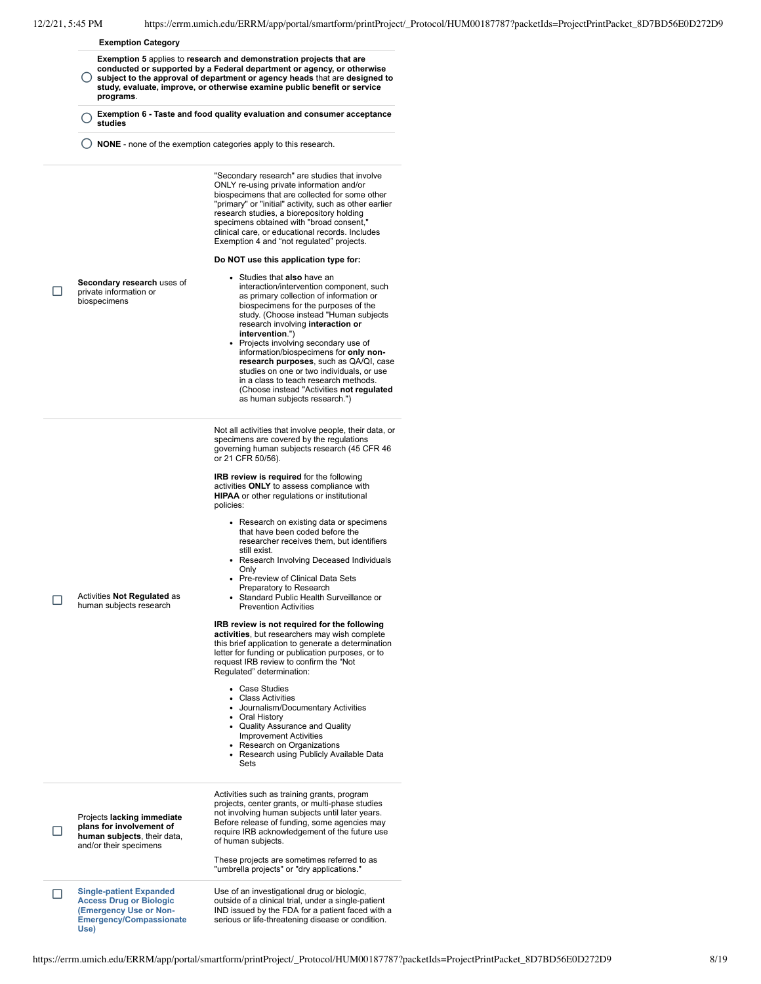$\Box$ 

#### **Exemption Category**

- $\left( \right)$ **Exemption 5** applies to **research and demonstration projects that are conducted or supported by a Federal department or agency, or otherwise subject to the approval of department or agency heads** that are **designed to study, evaluate, improve, or otherwise examine public benefit or service programs**.
- Õ **Exemption <sup>6</sup> - Taste and food quality evaluation and consumer acceptance studies**
- Õ **NONE** none of the exemption categories apply to this research.

"Secondary research" are studies that involve ONLY re-using private information and/or biospecimens that are collected for some other "primary" or "initial" activity, such as other earlier research studies, a biorepository holding specimens obtained with "broad consent, clinical care, or educational records. Includes Exemption 4 and "not regulated" projects.

#### **Do NOT use this application type for:**

- **Secondary research** uses of private information or **biospecimens**
- Studies that **also** have an interaction/intervention component, such as primary collection of information or biospecimens for the purposes of the study. (Choose instead "Human subjects research involving **interaction or intervention**.")
- Projects involving secondary use of information/biospecimens for **only nonresearch purposes**, such as QA/QI, case studies on one or two individuals, or use in a class to teach research methods. (Choose instead "Activities **not regulated** as human subjects research.")

Not all activities that involve people, their data, or specimens are covered by the regulations governing human subjects research (45 CFR 46 or 21 CFR 50/56).

**IRB review is required** for the following activities **ONLY** to assess compliance with **HIPAA** or other regulations or institutional policies:

- Research on existing data or specimens that have been coded before the researcher receives them, but identifiers still exist.
- Research Involving Deceased Individuals Only
- Pre-review of Clinical Data Sets
- Preparatory to Research Standard Public Health Surveillance or Prevention Activities

#### **IRB review is not required for the following**

**activities**, but researchers may wish complete this brief application to generate a determination letter for funding or publication purposes, or to request IRB review to confirm the "Not Regulated" determination:

Case Studies  $\ddot{\phantom{0}}$ 

Sets

- Class Activities
- Journalism/Documentary Activities Oral History
- Quality Assurance and Quality Improvement Activities
- 
- Research on Organizations Research using Publicly Available Data

Projects **lacking immediate plans for involvement of human subjects**, their data, and/or their specimens

 $\Box$ 

**COMPLEM** Activities **Not Regulated** as human subjects research

> Activities such as training grants, program projects, center grants, or multi-phase studies not involving human subjects until later years. Before release of funding, some agencies may require IRB acknowledgement of the future use of human subjects.

These projects are sometimes referred to as "umbrella projects" or "dry applications."

**Single-patient Expanded Access Drug or Biologic (Emergency Use or Non-Emergency/Compassionate Use)**

Use of an investigational drug or biologic, outside of a clinical trial, under a single-patient IND issued by the FDA for a patient faced with a serious or life-threatening disease or condition.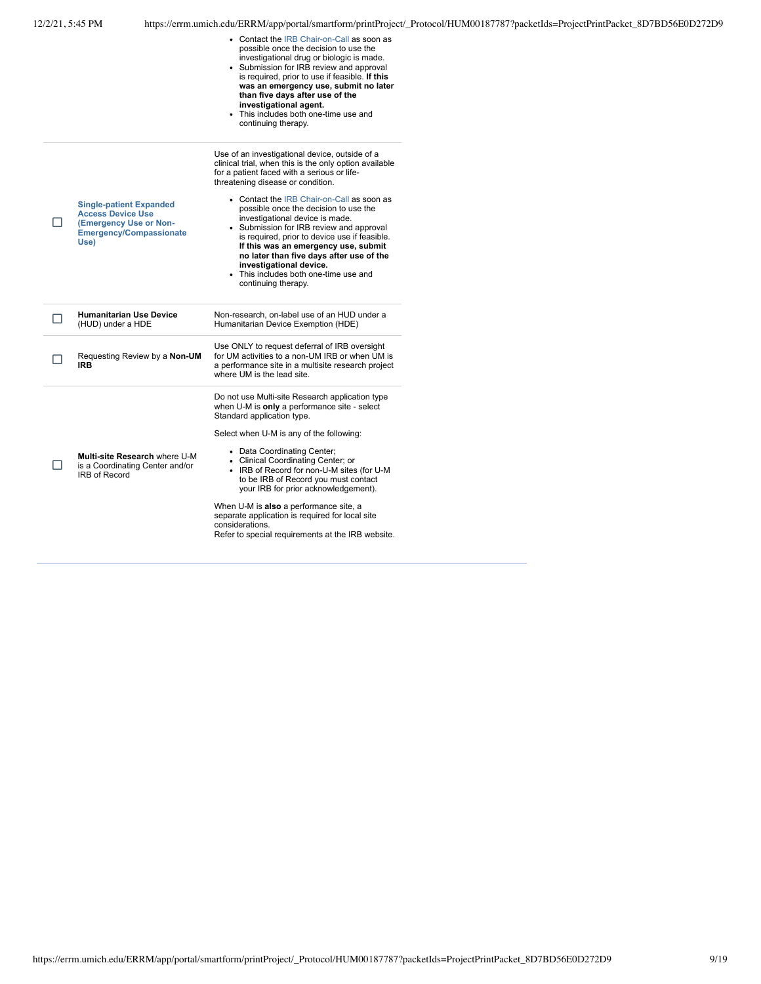| 12/2/21, 5:45 PM |                                                                                                                                |                                                                  |                                                                                                                                                                                                                                                                                                                                                                                                                                                                                                                                                                                                    | https://errm.umich.edu/ERRM/app/portal/smartform/printProject/_Protocol/HUM00187787?packetIds=ProjectPrintPacket_8D7BD56E0D272D9 |
|------------------|--------------------------------------------------------------------------------------------------------------------------------|------------------------------------------------------------------|----------------------------------------------------------------------------------------------------------------------------------------------------------------------------------------------------------------------------------------------------------------------------------------------------------------------------------------------------------------------------------------------------------------------------------------------------------------------------------------------------------------------------------------------------------------------------------------------------|----------------------------------------------------------------------------------------------------------------------------------|
|                  |                                                                                                                                |                                                                  | • Contact the IRB Chair-on-Call as soon as<br>possible once the decision to use the<br>investigational drug or biologic is made.<br>• Submission for IRB review and approval<br>is required, prior to use if feasible. If this<br>was an emergency use, submit no later<br>than five days after use of the<br>investigational agent.<br>• This includes both one-time use and<br>continuing therapy.                                                                                                                                                                                               |                                                                                                                                  |
| П                | <b>Single-patient Expanded</b><br><b>Access Device Use</b><br>(Emergency Use or Non-<br><b>Emergency/Compassionate</b><br>Use) |                                                                  | Use of an investigational device, outside of a<br>clinical trial, when this is the only option available<br>for a patient faced with a serious or life-<br>threatening disease or condition.<br>• Contact the IRB Chair-on-Call as soon as<br>possible once the decision to use the<br>investigational device is made.<br>• Submission for IRB review and approval<br>is required, prior to device use if feasible.<br>If this was an emergency use, submit<br>no later than five days after use of the<br>investigational device.<br>• This includes both one-time use and<br>continuing therapy. |                                                                                                                                  |
|                  | <b>Humanitarian Use Device</b><br>(HUD) under a HDE                                                                            |                                                                  | Non-research, on-label use of an HUD under a<br>Humanitarian Device Exemption (HDE)                                                                                                                                                                                                                                                                                                                                                                                                                                                                                                                |                                                                                                                                  |
|                  | <b>IRB</b>                                                                                                                     | Requesting Review by a Non-UM                                    | Use ONLY to request deferral of IRB oversight<br>for UM activities to a non-UM IRB or when UM is<br>a performance site in a multisite research project<br>where UM is the lead site.                                                                                                                                                                                                                                                                                                                                                                                                               |                                                                                                                                  |
| П                | IRB of Record                                                                                                                  | Multi-site Research where U-M<br>is a Coordinating Center and/or | Do not use Multi-site Research application type<br>when U-M is only a performance site - select<br>Standard application type.<br>Select when U-M is any of the following:<br>• Data Coordinating Center;<br>• Clinical Coordinating Center; or<br>• IRB of Record for non-U-M sites (for U-M<br>to be IRB of Record you must contact<br>your IRB for prior acknowledgement).<br>When U-M is also a performance site, a<br>separate application is required for local site<br>considerations.<br>Refer to special requirements at the IRB website.                                                  |                                                                                                                                  |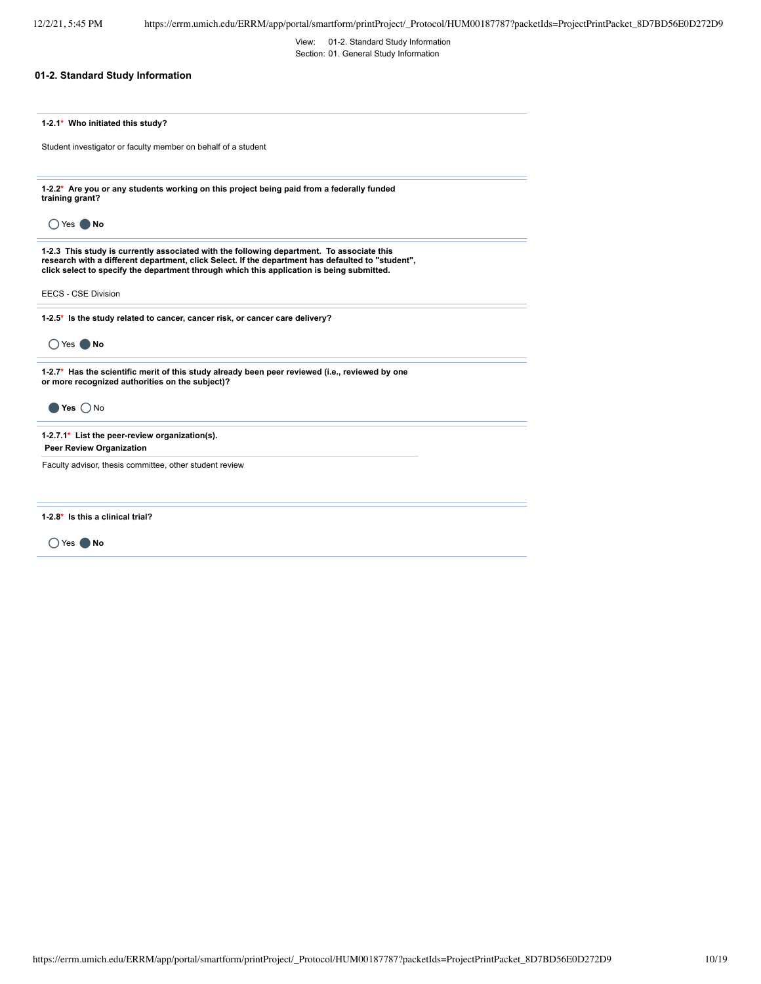View: 01-2. Standard Study Information Section: 01. General Study Information

## **01-2. Standard Study Information**

|  |  | 1-2.1* Who initiated this study? |  |  |  |
|--|--|----------------------------------|--|--|--|
|--|--|----------------------------------|--|--|--|

Student investigator or faculty member on behalf of a student

**1-2.2\* Are you or any students working on this project being paid from a federally funded training grant?**

Õ Yes Õ **No**

1-2.3 This study is currently associated with the following department. To associate this<br>research with a different department, click Select. If the department has defaulted to "student",<br>click select to specify the depa

EECS - CSE Division

**1-2.5\* Is the study related to cancer, cancer risk, or cancer care delivery?**

Õ Yes Õ **No**

Õ **Yes** Õ No

**1-2.7\* Has the scientific merit of this study already been peer reviewed (i.e., reviewed by one or more recognized authorities on the subject)?**

**1-2.7.1\* List the peer-review organization(s).**

**Peer Review Organization**

Faculty advisor, thesis committee, other student review

**1-2.8\* Is this a clinical trial?**

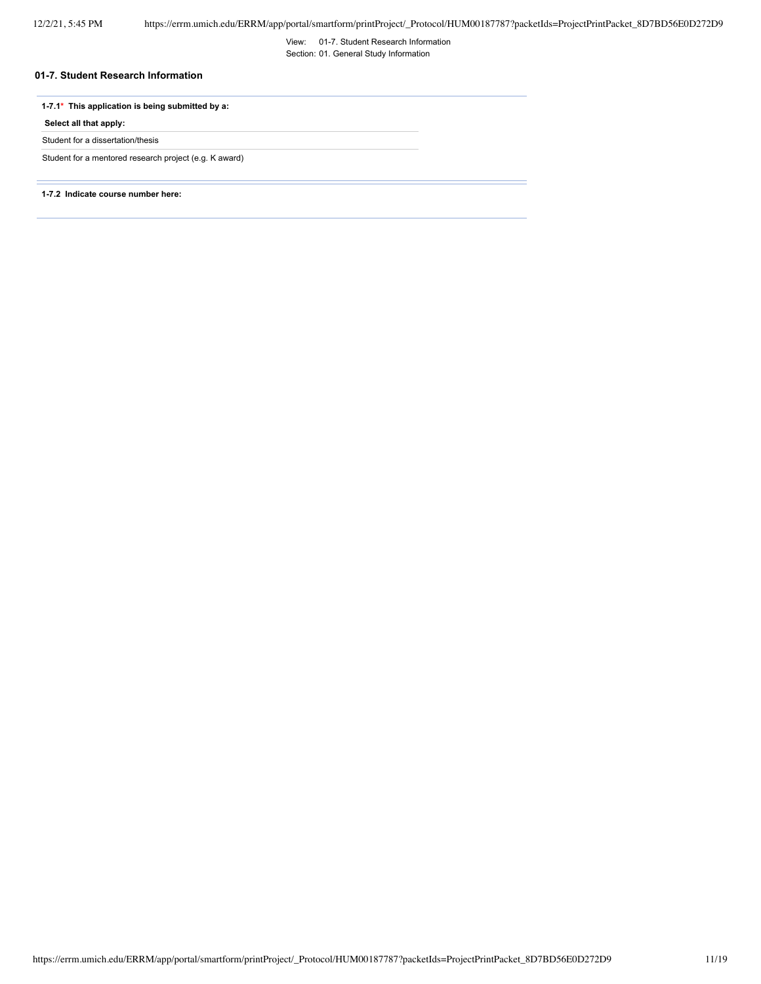View: 01-7. Student Research Information Section: 01. General Study Information

## **01-7. Student Research Information**

## **1-7.1\* This application is being submitted by a:**

**Select all that apply:**

Student for a dissertation/thesis

Student for a mentored research project (e.g. K award)

**1-7.2 Indicate course number here:**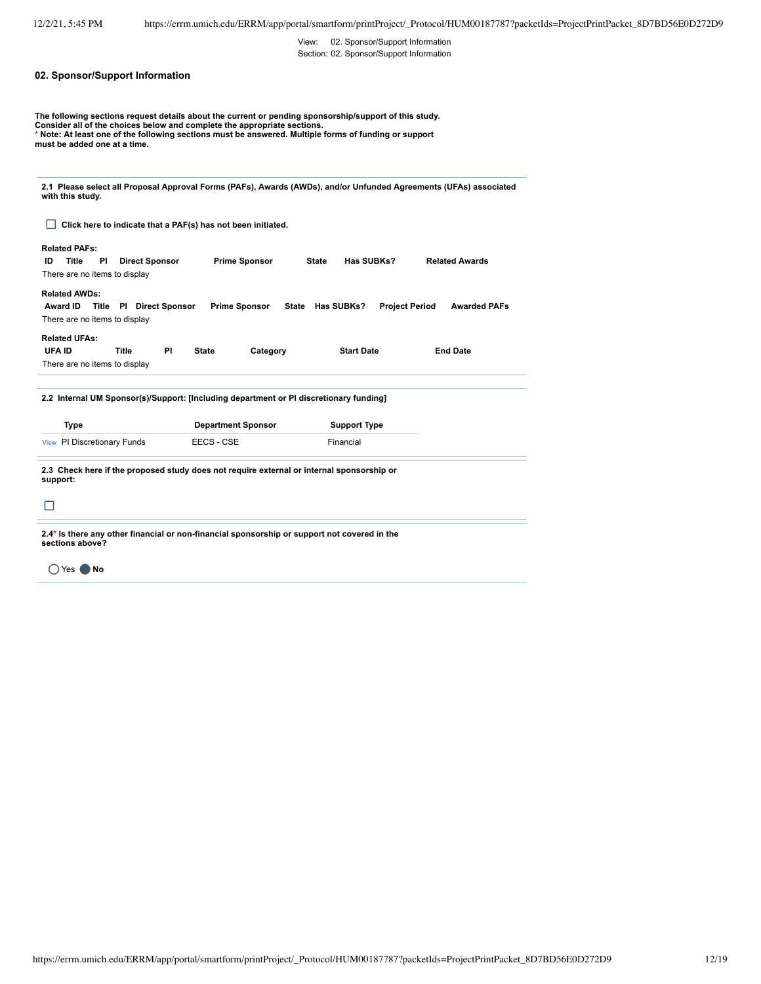View: 02. Sponsor/Support Information Section: 02. Sponsor/Support Information

## **02. Sponsor/Support Information**

The following sections request details about the current or pending sponsorship/support of this study.<br>Consider all of the choices below and complete the appropriate sections.<br>\* Note: At least one of the following sections **must be added one at a time.**

**2.1 Please select all Proposal Approval Forms (PAFs), Awards (AWDs), and/or Unfunded Agreements (UFAs) associated with this study.**

ˈ **Click here to indicate that a PAF(s) has not been initiated.**

## **Related PAFs:**

| ID | Title                | ΡI | <b>Direct Sponsor</b>         | <b>Prime Sponsor</b> | State | Has SUBKs? | <b>Related Awards</b> |
|----|----------------------|----|-------------------------------|----------------------|-------|------------|-----------------------|
|    |                      |    | There are no items to display |                      |       |            |                       |
|    | <b>Related AWDs:</b> |    |                               |                      |       |            |                       |

**Award ID Title PI Direct Sponsor Prime Sponsor State Has SUBKs? Project Period Awarded PAFs** There are no items to display

## **Related UFAs:**

| UFA ID                        | Title | <b>State</b> | Category | <b>Start Date</b> | <b>End Date</b> |
|-------------------------------|-------|--------------|----------|-------------------|-----------------|
| There are no items to display |       |              |          |                   |                 |

**2.2 Internal UM Sponsor(s)/Support: [Including department or PI discretionary funding]**

| Type                        | <b>Department Sponsor</b> | <b>Support Type</b> |
|-----------------------------|---------------------------|---------------------|
| View PI Discretionary Funds | EECS - CSE                | Financial           |

**2.3 Check here if the proposed study does not require external or internal sponsorship or support:**

|  | __ |  |
|--|----|--|
|  |    |  |
|  |    |  |
|  |    |  |
|  |    |  |

**2.4\* Is there any other financial or non-financial sponsorship or support not covered in the sections above?**

Õ Yes Õ **No**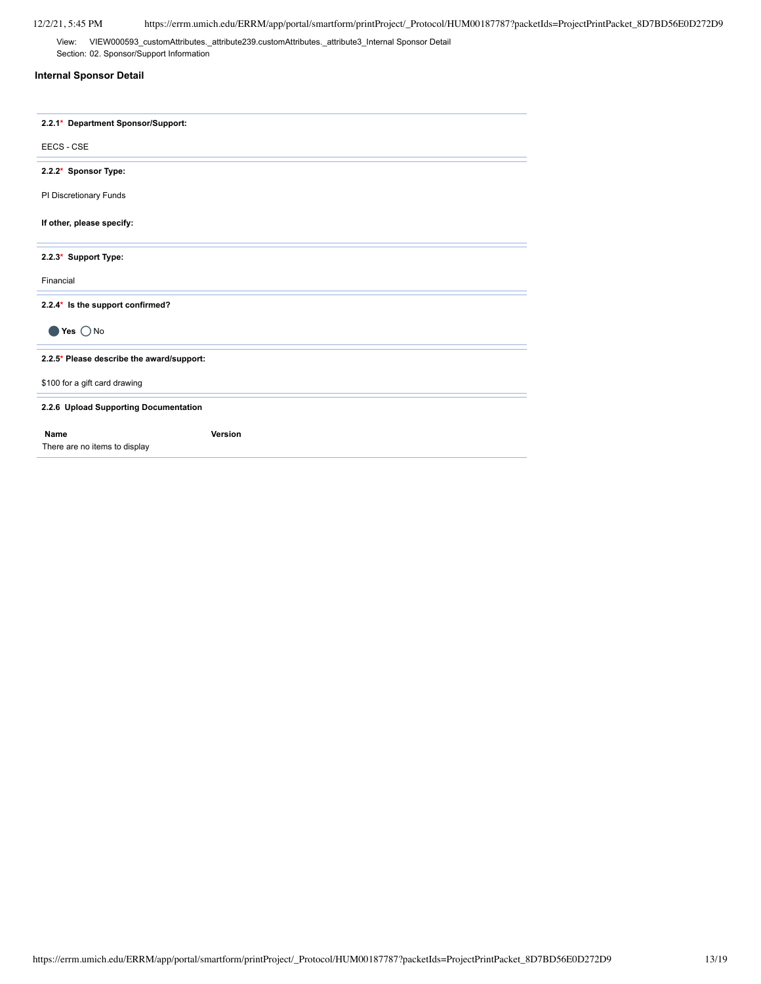View: VIEW000593\_customAttributes.\_attribute239.customAttributes.\_attribute3\_Internal Sponsor Detail Section: 02. Sponsor/Support Information

## **Internal Sponsor Detail**

| 2.2.1* Department Sponsor/Support:           |         |
|----------------------------------------------|---------|
| EECS - CSE                                   |         |
| 2.2.2* Sponsor Type:                         |         |
| PI Discretionary Funds                       |         |
| If other, please specify:                    |         |
| 2.2.3* Support Type:                         |         |
| Financial                                    |         |
| 2.2.4* Is the support confirmed?             |         |
| Yes $\bigcap$ No                             |         |
| 2.2.5* Please describe the award/support:    |         |
| \$100 for a gift card drawing                |         |
| 2.2.6 Upload Supporting Documentation        |         |
| <b>Name</b><br>There are no items to display | Version |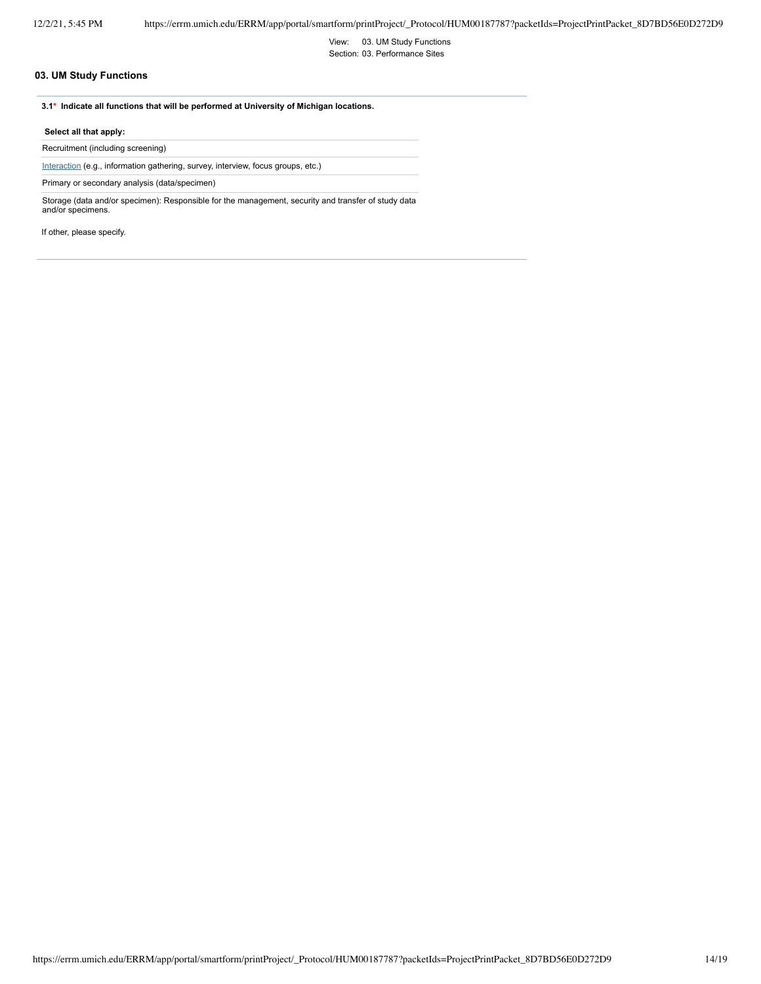View: 03. UM Study Functions Section: 03. Performance Sites

## **03. UM Study Functions**

**3.1\* Indicate all functions that will be performed at University of Michigan locations.**

#### **Select all that apply:**

Recruitment (including screening)

Interaction (e.g., information gathering, survey, interview, focus groups, etc.)

Primary or secondary analysis (data/specimen)

Storage (data and/or specimen): Responsible for the management, security and transfer of study data and/or specimens.

If other, please specify.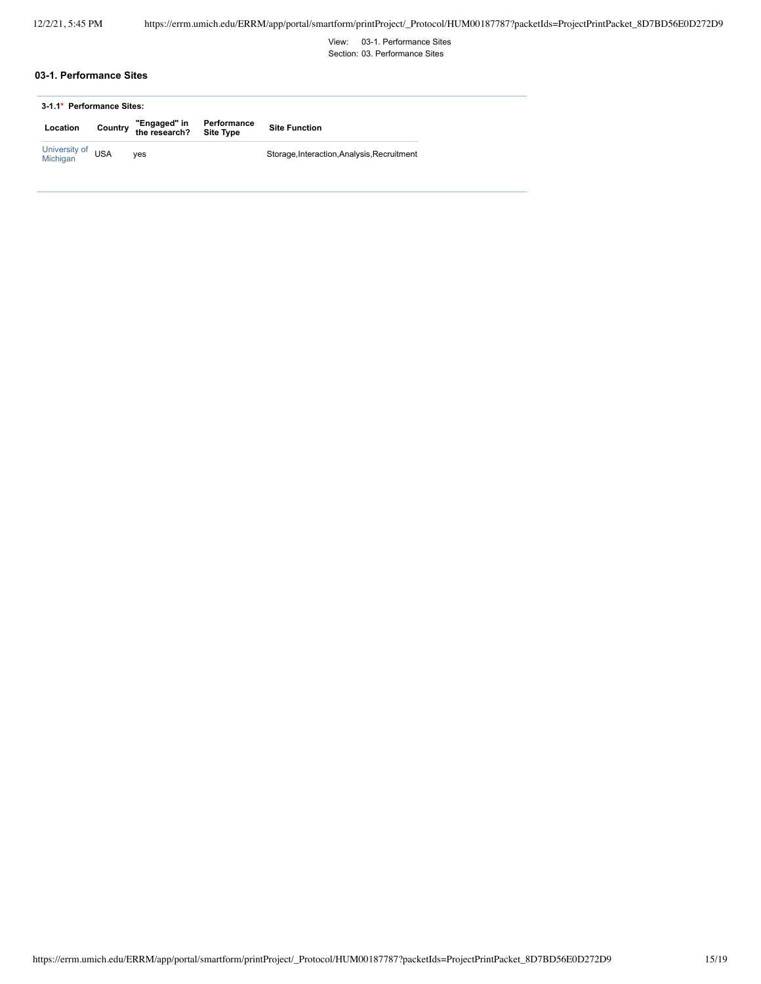View: 03-1. Performance Sites Section: 03. Performance Sites

## **03-1. Performance Sites**

|                               | 3-1.1* Performance Sites: |                                                             |  |                                             |
|-------------------------------|---------------------------|-------------------------------------------------------------|--|---------------------------------------------|
| Location                      |                           | Country "Engaged" in Performance<br>the research? Site Type |  | <b>Site Function</b>                        |
| University of USA<br>Michigan |                           | ves                                                         |  | Storage, Interaction, Analysis, Recruitment |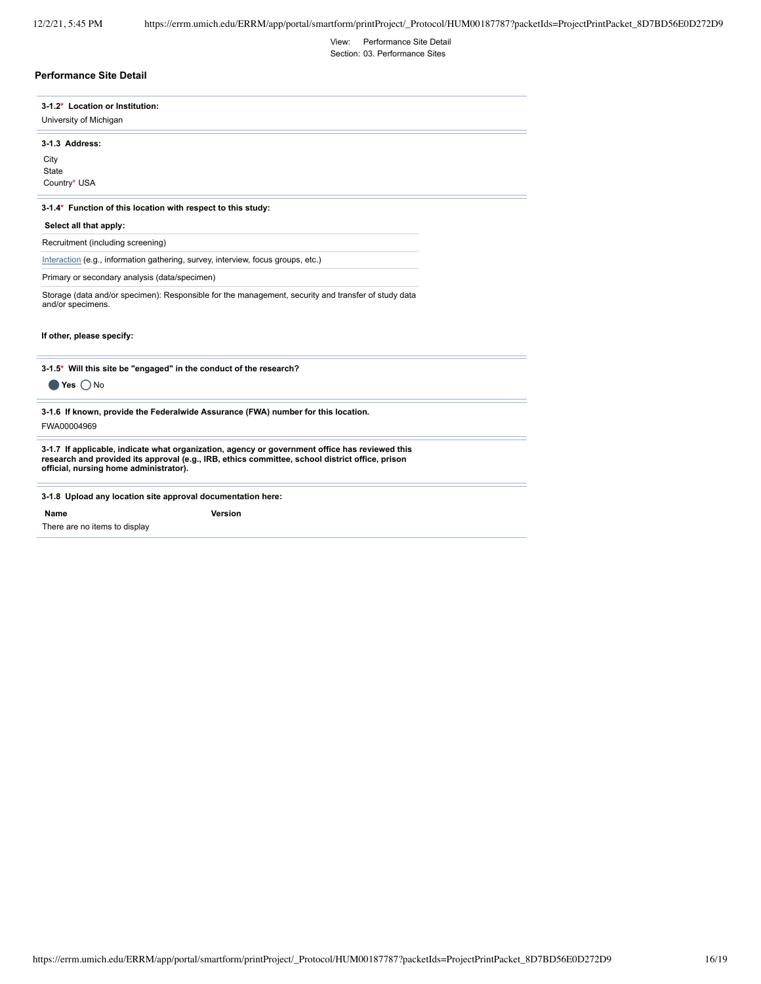View: Performance Site Detail

Section: 03. Performance Sites

## **Performance Site Detail**

| 3-1.2* Location or Institution:                                                                                          |  |
|--------------------------------------------------------------------------------------------------------------------------|--|
| University of Michigan                                                                                                   |  |
| 3-1.3 Address:                                                                                                           |  |
| City                                                                                                                     |  |
| State                                                                                                                    |  |
| Country* USA                                                                                                             |  |
| 3-1.4* Function of this location with respect to this study:<br>Select all that apply:                                   |  |
| Recruitment (including screening)                                                                                        |  |
| Interaction (e.g., information gathering, survey, interview, focus groups, etc.)                                         |  |
| Primary or secondary analysis (data/specimen)                                                                            |  |
| Storage (data and/or specimen): Responsible for the management, security and transfer of study data<br>and/or specimens. |  |
| If other, please specify:                                                                                                |  |
|                                                                                                                          |  |

**3-1.5\* Will this site be "engaged" in the conduct of the research?**

Õ **Yes** Õ No

**3-1.6 If known, provide the Federalwide Assurance (FWA) number for this location.**

FWA00004969

3-1.7 If applicable, indicate what organization, agency or government office has reviewed this<br>research and provided its approval (e.g., IRB, ethics committee, school district office, prison<br>official, nursing home adminis

#### **3-1.8 Upload any location site approval documentation here:**

**Name Version**

There are no items to display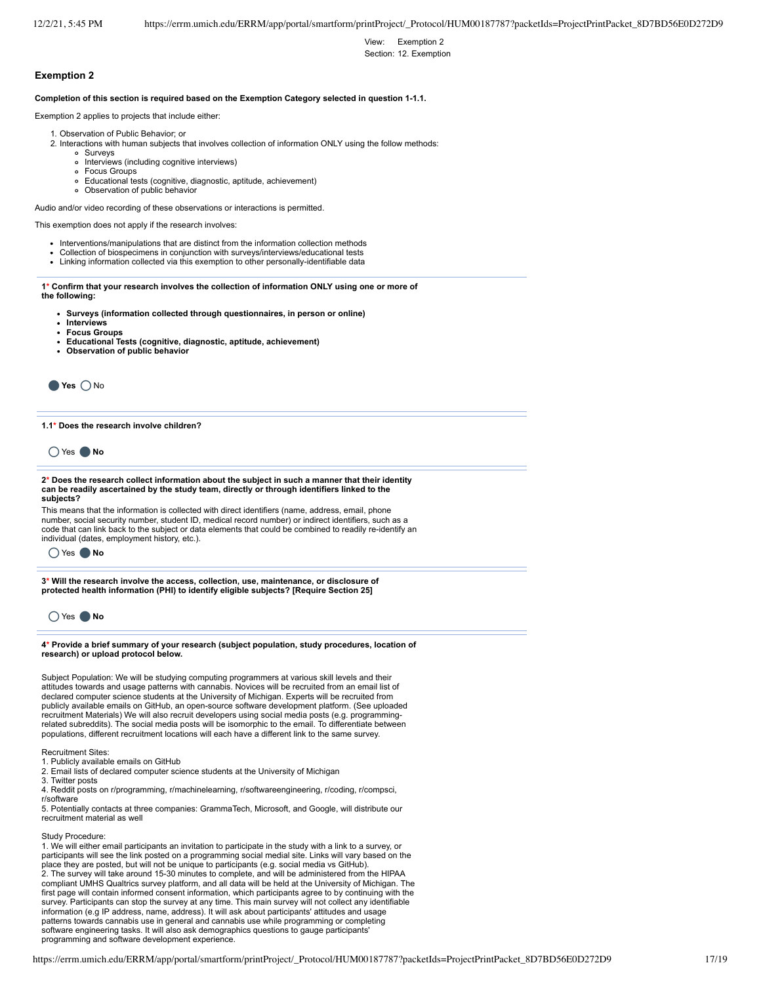View: Exemption 2 Section: 12. Exemption

### **Exemption 2**

**Completion of this section is required based on the Exemption Category selected in question 1-1.1.**

Exemption 2 applies to projects that include either:

- 1. Observation of Public Behavior; or
- 2. Interactions with human subjects that involves collection of information ONLY using the follow methods:
	- Surveys
		- o Interviews (including cognitive interviews)
		- Focus Groups  $\circ$
		- $\circ$ Educational tests (cognitive, diagnostic, aptitude, achievement)
		- Observation of public behavior

Audio and/or video recording of these observations or interactions is permitted.

This exemption does not apply if the research involves:

- Interventions/manipulations that are distinct from the information collection methods
- Collection of biospecimens in conjunction with surveys/interviews/educational tests
- Linking information collected via this exemption to other personally-identifiable data  $\bullet$

**1\* Confirm that your research involves the collection of information ONLY using one or more of**

- **the following:**
	- **Surveys (information collected through questionnaires, in person or online)**
	- **Interviews Focus Groups**
	-
	- **Educational Tests (cognitive, diagnostic, aptitude, achievement)**
	- **Observation of public behavior**



**1.1\* Does the research involve children?**

Õ Yes Õ **No**

#### **2\* Does the research collect information about the subject in such a manner that their identity can be readily ascertained by the study team, directly or through identifiers linked to the subjects?**

This means that the information is collected with direct identifiers (name, address, email, phone number, social security number, student ID, medical record number) or indirect identifiers, such as a code that can link back to the subject or data elements that could be combined to readily re-identify an individual (dates, employment history, etc.).

| Yes | Nο |
|-----|----|
|-----|----|

**3\* Will the research involve the access, collection, use, maintenance, or disclosure of protected health information (PHI) to identify eligible subjects? [Require Section 25]**



**4\* Provide a brief summary of your research (subject population, study procedures, location of research) or upload protocol below.**

Subject Population: We will be studying computing programmers at various skill levels and their attitudes towards and usage patterns with cannabis. Novices will be recruited from an email list of declared computer science students at the University of Michigan. Experts will be recruited from publicly available emails on GitHub, an open-source software development platform. (See uploaded recruitment Materials) We will also recruit developers using social media posts (e.g. programmingrelated subreddits). The social media posts will be isomorphic to the email. To differentiate between populations, different recruitment locations will each have a different link to the same survey.

Recruitment Sites:

1. Publicly available emails on GitHub

2. Email lists of declared computer science students at the University of Michigan

3. Twitter posts

4. Reddit posts on r/programming, r/machinelearning, r/softwareengineering, r/coding, r/compsci, r/software

5. Potentially contacts at three companies: GrammaTech, Microsoft, and Google, will distribute our recruitment material as well

#### Study Procedure:

1. We will either email participants an invitation to participate in the study with a link to a survey, or participants will see the link posted on a programming social medial site. Links will vary based on the place they are posted, but will not be unique to participants (e.g. social media vs GitHub). 2. The survey will take around 15-30 minutes to complete, and will be administered from the HIPAA compliant UMHS Qualtrics survey platform, and all data will be held at the University of Michigan. The first page will contain informed consent information, which participants agree to by continuing with the survey. Participants can stop the survey at any time. This main survey will not collect any identifiable information (e.g IP address, name, address). It will ask about participants' attitudes and usage patterns towards cannabis use in general and cannabis use while programming or completing software engineering tasks. It will also ask demographics questions to gauge participants' programming and software development experience.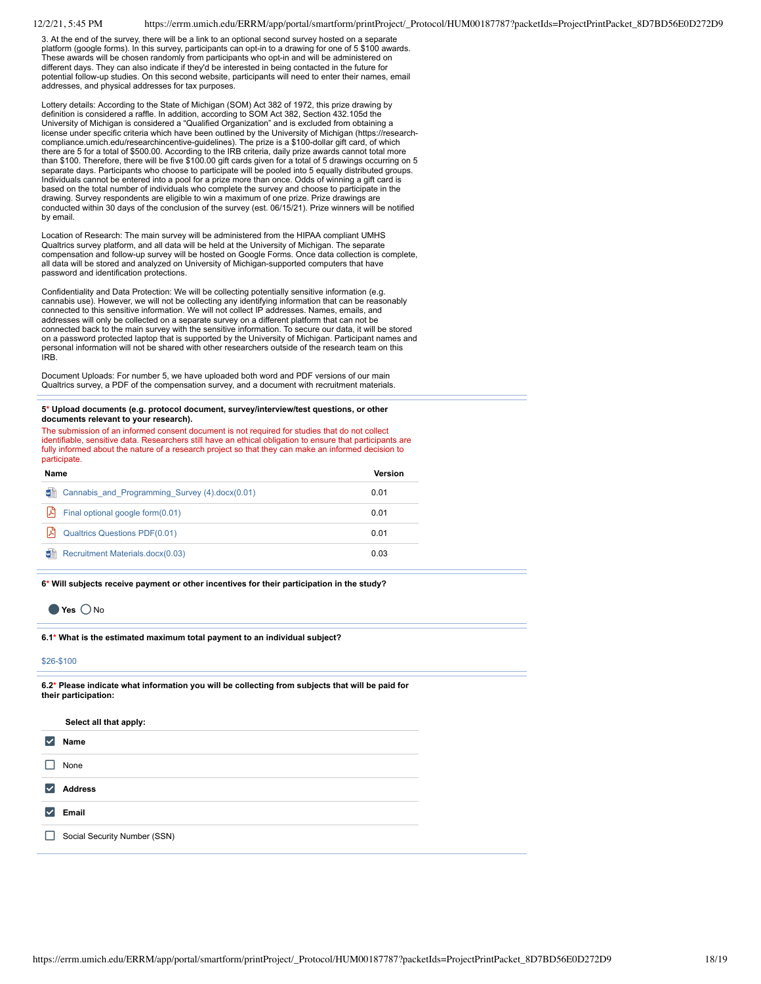3. At the end of the survey, there will be a link to an optional second survey hosted on a separate platform (google forms). In this survey, participants can opt-in to a drawing for one of 5 \$100 awards. These awards will be chosen randomly from participants who opt-in and will be administered on different days. They can also indicate if they'd be interested in being contacted in the future for potential follow-up studies. On this second website, participants will need to enter their names, email addresses, and physical addresses for tax purposes.

Lottery details: According to the State of Michigan (SOM) Act 382 of 1972, this prize drawing by definition is considered a raffle. In addition, according to SOM Act 382, Section 432.105d the University of Michigan is considered a "Qualified Organization" and is excluded from obtaining a license under specific criteria which have been outlined by the University of Michigan (https://researchcompliance.umich.edu/researchincentive-guidelines). The prize is a \$100-dollar gift card, of which there are 5 for a total of \$500.00. According to the IRB criteria, daily prize awards cannot total more than \$100. Therefore, there will be five \$100.00 gift cards given for a total of 5 drawings occurring on 5 separate days. Participants who choose to participate will be pooled into 5 equally distributed groups. Individuals cannot be entered into a pool for a prize more than once. Odds of winning a gift card is based on the total number of individuals who complete the survey and choose to participate in the drawing. Survey respondents are eligible to win a maximum of one prize. Prize drawings are conducted within 30 days of the conclusion of the survey (est. 06/15/21). Prize winners will be notified by email.

Location of Research: The main survey will be administered from the HIPAA compliant UMHS Qualtrics survey platform, and all data will be held at the University of Michigan. The separate compensation and follow-up survey will be hosted on Google Forms. Once data collection is complete, all data will be stored and analyzed on University of Michigan-supported computers that have password and identification protections.

Confidentiality and Data Protection: We will be collecting potentially sensitive information (e.g. cannabis use). However, we will not be collecting any identifying information that can be reasonably connected to this sensitive information. We will not collect IP addresses. Names, emails, and addresses will only be collected on a separate survey on a different platform that can not be connected back to the main survey with the sensitive information. To secure our data, it will be stored on a password protected laptop that is supported by the University of Michigan. Participant names and personal information will not be shared with other researchers outside of the research team on this IRB.

Document Uploads: For number 5, we have uploaded both word and PDF versions of our main Qualtrics survey, a PDF of the compensation survey, and a document with recruitment materials.

#### **5\* Upload documents (e.g. protocol document, survey/interview/test questions, or other documents relevant to your research).**

The submission of an informed consent document is not required for studies that do not collect identifiable, sensitive data. Researchers still have an ethical obligation to ensure that participants are fully informed about the nature of a research project so that they can make an informed decision to participate.

| Name                                                | Version |
|-----------------------------------------------------|---------|
| 鸕<br>Cannabis and Programming Survey (4).docx(0.01) | 0.01    |
| 齿<br>Final optional google form(0.01)               | 0.01    |
| الدا<br><b>Qualtrics Questions PDF(0.01)</b>        | 0.01    |
| 鸕<br>Recruitment Materials.docx(0.03)               | 0.03    |

**6\* Will subjects receive payment or other incentives for their participation in the study?**

## Õ **Yes** Õ No

**6.1\* What is the estimated maximum total payment to an individual subject?**

## \$26-\$100

**6.2\* Please indicate what information you will be collecting from subjects that will be paid for their participation:**

| V<br>Name<br>None<br>∣✓<br><b>Address</b><br>Email<br>$\vert\bm{\vee}\vert$<br>Social Security Number (SSN) | Select all that apply: |  |
|-------------------------------------------------------------------------------------------------------------|------------------------|--|
|                                                                                                             |                        |  |
|                                                                                                             |                        |  |
|                                                                                                             |                        |  |
|                                                                                                             |                        |  |
|                                                                                                             |                        |  |